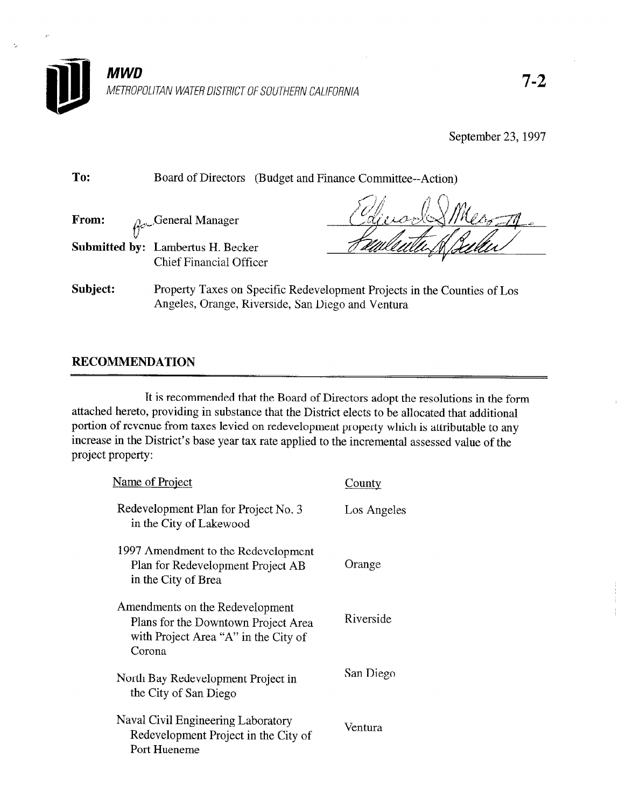

METROPOLITAN WATER DISTRICT OF SOUTHERN CALIFORNIA

September 23, 1997

| To:      | Board of Directors<br>(Budget and Finance Committee--Action)               |                                                                          |
|----------|----------------------------------------------------------------------------|--------------------------------------------------------------------------|
| From:    | $\rho_{\text{e}}$ General Manager                                          |                                                                          |
|          | <b>Submitted by: Lambertus H. Becker</b><br><b>Chief Financial Officer</b> |                                                                          |
| Subject: | Angeles, Orange, Riverside, San Diego and Ventura                          | Property Taxes on Specific Redevelopment Projects in the Counties of Los |

# RECOMMENDATION

It is recommended that the Board of Directors adopt the resolutions in the form attached hereto, providing in substance that the District elects to be allocated that additional portion of revenue from taxes levied on redevelopment property which is attributable to any increase in the District's base year tax rate applied to the incremental assessed value of the project property:

| Name of Project                                                                                                          | County      |
|--------------------------------------------------------------------------------------------------------------------------|-------------|
| Redevelopment Plan for Project No. 3<br>in the City of Lakewood                                                          | Los Angeles |
| 1997 Amendment to the Redevelopment<br>Plan for Redevelopment Project AB<br>in the City of Brea                          | Orange      |
| Amendments on the Redevelopment<br>Plans for the Downtown Project Area<br>with Project Area "A" in the City of<br>Corona | Riverside   |
| North Bay Redevelopment Project in<br>the City of San Diego                                                              | San Diego   |
| Naval Civil Engineering Laboratory<br>Redevelopment Project in the City of<br>Port Hueneme                               | Ventura     |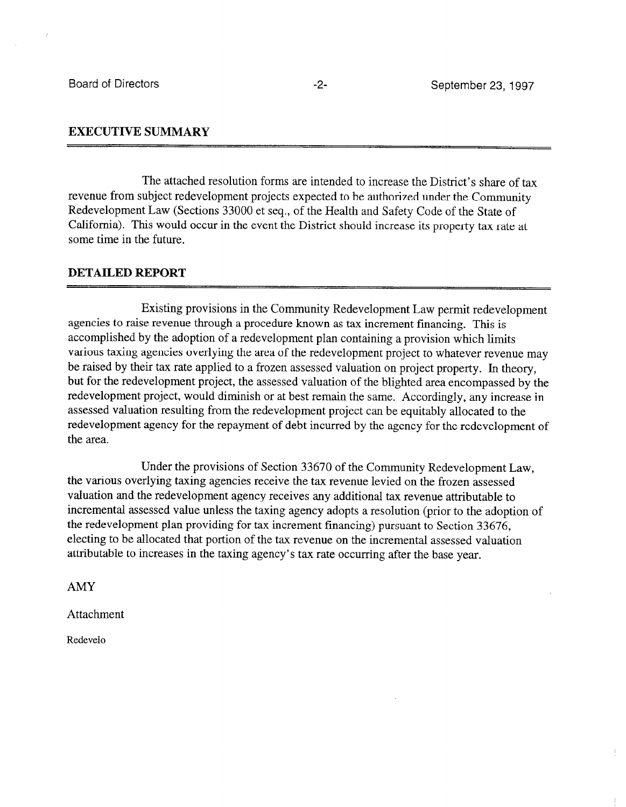# EXECUTIVE SUMMARY

The attached resolution forms are intended to increase the District's share of tax revenue from subject redevelopment projects expected to be authorized under the Community Redevelopment Law (Sections 33000 et seq., of the Health and Safety Code of the State of California). This would occur in the event the District should increase its property tax rate at some time in the future.

### DETAILED REPORT

Existing provisions in the Community Redevelopment Law permit redevelopment agencies to raise revenue through a procedure known as tax increment financing. This is accomplished by the adoption of a redevelopment plan containing a provision which limits various taxing agencies overlying the area of the redevelopment project to whatever revenue may be raised by their tax rate applied to a frozen assessed valuation on project property. In theory, but for the redevelopment project, the assessed valuation of the blighted area encompassed by the redevelopment project, would diminish or at best remain the same. Accordingly, any increase in assessed valuation resulting from the redevelopment project can be equitably allocated to the redevelopment agency for the repayment of debt incurred by the agency for the redevelopment of the area.

Under the provisions of Section 33670 of the Community Redevelopment Law, the various overlying taxing agencies receive the tax revenue levied on the frozen assessed valuation and the redevelopment agency receives any additional tax revenue attributable to incremental assessed value unless the taxing agency adopts a resolution (prior to the adoption of the redevelopment plan providing for tax increment financing) pursuant to Section 33676, electing to be allocated that portion of the tax revenue on the incremental assessed valuation attributable to increases in the taxing agency's tax rate occurring after the base year.

AMY

Attachment

Redevelo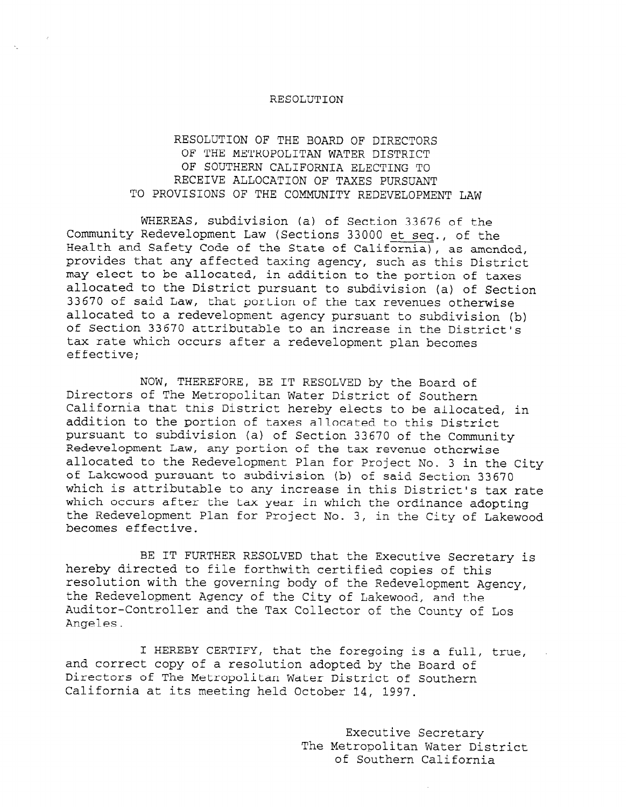### RESOLUTION OF THE BOARD OF DIRECTORS OF THE METROPOLITAN WATER DISTRICT OF SOUTHERN CALIFORNIA ELECTING TO RECEIVE ALLOCATION OF TAXES PURSUANT TO PROVISIONS OF THE COMMUNITY REDEVELOPMENT LAW

WHEREAS, subdivision (a) of Section 33676 of the Community Redevelopment Law (Sections 33000 et seq., of the Health and Safety Code of the State of California), as amended, provides that any affected taxing agency, such as this District may elect to be allocated, in addition to the portion of taxes allocated to the District pursuant to subdivision (a) of Section allocated to the District parsuant to subdivision (d) Of Se allocated to a redevelopment agency pursuant to subdivision (b) allocated to a redevelopment agency pursuant to subdivision (b) of Section 33670 attributable to an increase in the District's tax rate which occurs after a redevelopment plan becomes effective;

NOW, THEREFORE, BE IT RESOLVED by the Board of NOW, THEREFORE, BE IT RESOLVED by the Board o Directors of The Metropolitan Water District of Southern California that this District hereby elects to be allocated, in addition to the portion of taxes allocated to this District pursuant to subdivision (a) of Section 33670 of the Community Redevelopment Law, any portion of the tax revenue otherwise allocated to the Redevelopment Plan for Project No. 3 in the City of Lakewood pursuant to subdivision (b) of said Section 33670 which is attributable to any increase in this District's tax rate which occurs after the tax year in which the ordinance adopting the Redevelopment Plan for Project No. 3, in the City of Lakewood<br>becomes effective.

BE IT FURTHER RESOLVED that the Executive Secre hereby directed to file forthwith certified copies of this resolution with the governing body of the Redevelopment Agency, the Redevelopment Agency of the City of Lakewood, and the Auditor-Controller and the Tax Collector of the County of Los Angeles.

I HEREBY CERTIFY, that the foregoing is a full, true, and correct copy of a resolution adopted by the Board of Directors of The Metropolitan Water District of Southern California at its meeting held October 14, 1997.

> Executive Secretary The Metropolitan Water District of Southern California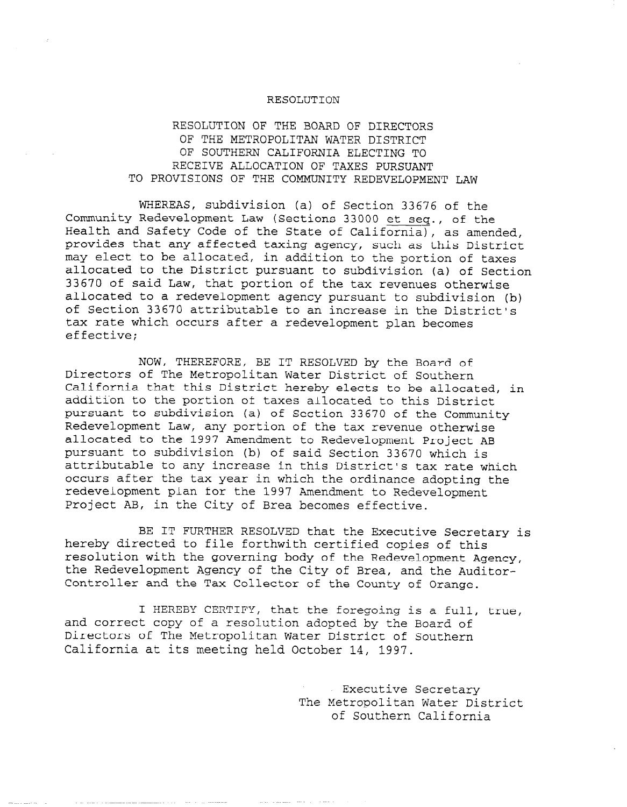# RESOLUTION OF THE BOARD OF DIRECTORS OF THE METROPOLITAN WATER DISTRICT OF SOUTHERN CALIFORNIA ELECTING TO RECEIVE ALLOCATION OF TAXES PURSUANT TO PROVISIONS OF THE COMMUNITY REDEVELOPMENT LAW

WHEREAS, subdivision (a) of Section 33676 of the Community Redevelopment Law (Sections 33000 et seq., of the Health and Safety Code of the State of California), as amended, provides that any affected taxing agency, such as this District may elect to be allocated, in addition to the portion of taxes allocated to the District pursuant to subdivision (a) of Section 33670 of said Law, that portion of the tax revenues otherwise allocated to a redevelopment agency pursuant to subdivision (b) of Section 33670 attributable to an increase in the District's tax rate which occurs after a redevelopment plan becomes effective;

NOW, THEREFORE, BE IT RESOLVED by the Board of Directors of The Metropolitan Water District of Southern California that this District hereby elects to be allocated, in addition to the portion of taxes allocated to this District pursuant to subdivision (a) of Section 33670 of the Community Redevelopment Law, any portion of the tax revenue otherwise allocated to the 1997 Amendment to Redevelopment Project AB pursuant to subdivision (b) of said Section 33670 which is attributable to any increase in this District's tax rate which occurs after the tax year in which the ordinance adopting the redevelopment plan for the 1997 Amendment to Redevelopment Project AB, in the City of Brea becomes effective.

BE IT FURTHER RESOLVED that the Executive Secretary is hereby directed to file forthwith certified copies of this resolution with the governing body of the Redevelopment Agency, the Redevelopment Agency of the City of Brea, and the Auditor-Controller and the Tax Collector of the County of Orange.

I HEREBY CERTIFY, that the foregoing is a full, true, and correct copy of a resolution adopted by the Board of Directors of The Metropolitan Water District of Southern California at its meeting held October 14, 1997.

> Executive Secretary The Metropolitan Water District of Southern California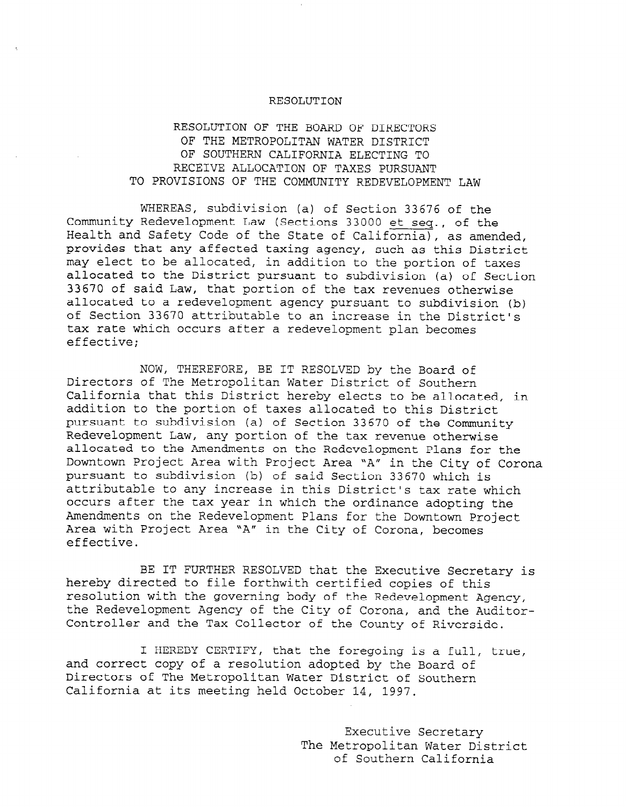# RESOLUTION OF THE BOARD OF DIRECTORS OF THE METROPOLITAN WATER DISTRICT OF SOUTHERN CALIFORNIA ELECTING TO RECEIVE ALLOCATION OF TAXES PURSUANT TO PROVISIONS OF THE COMMUNITY REDEVELOPMENT LAW

WHEREAS, subdivision (a) of Section 33676 of the Community Redevelopment Law (Sections 33000 et seq., of the Health and Safety Code of the State of California), as amended, provides that any affected taxing agency, such as this District may elect to be allocated, in addition to the portion of taxes allocated to the District pursuant to subdivision (a) of Section 33670 of said Law, that portion of the tax revenues otherwise allocated to a redevelopment agency pursuant to subdivision (b) allocated to a redevelopment agency pursuant to subdivision (b) of Section 33670 attributable to an increase in the District's tax rate which occurs after a redevelopment plan becomes effective;

NOW, THEREFORE, BE IT RESOLVED by the Board of NOW, INLAEFORE, BE IT RESOLVED BY THE BOARD C DITECTORS OF THE MELLOPOLICAN WATER DISTRICT OF SOUTHERN California that this District hereby elects to be allocated, in addition to the portion of taxes allocated to this District pursuant to subdivision (a) of Section 33670 of the Community Redevelopment Law, any portion of the tax revenue otherwise allocated to the Amendments on the Redevelopment Plans for the Downtown Project Area with Project Area "A" in the City of Corona pursuant to subdivision (b) of said Section 33670 which is attributable to any increase in this District's tax rate which occurs after the tax year in which the ordinance adopting the Amendments on the Redevelopment Plans for the Downtown Project Area with Project Area "A" in the City of Corona, becomes effective.

BE IT FURTHER RESOLVED that the Executive Secretary is hereby directed to file forthwith certified copies of this resolution with the governing body of the Redevelopment Agency, the Redevelopment Agency of the City of Corona, and the Auditor-Controller and the Tax Collector of the County of Riverside.

I HEREBY CERTIFY, that the foregoing is a full, true, and correct copy of a resolution adopted by the Board of Directors of The Metropolitan Water District of Southern California at its meeting held October 14, 1997.

> Executive Secretary The Metropolitan Water District of Southern California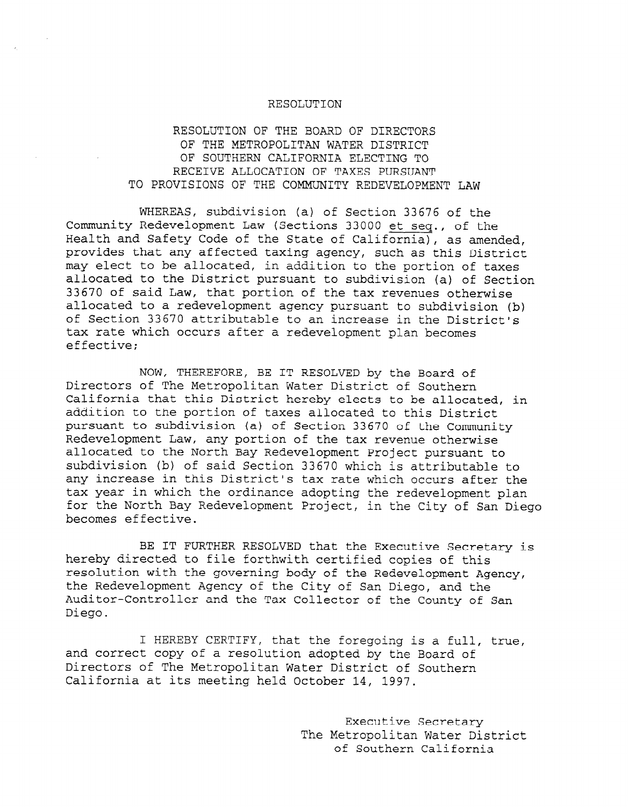### RESOLUTION OF THE BOARD OF DIRECTORS OF THE METROPOLITAN WATER DISTRICT OF SOUTHERN CALIFORNIA ELECTING TO RECEIVE ALLOCATION OF TAXES PURSUANT TO PROVISIONS OF THE COMMUNITY REDEVELOPMENT LAW

WHEREAS, subdivision (a) of Section 33676 of the Community Redevelopment Law (Sections 33000 et seq., of the Health and Safety Code of the State of California), as amended, provides that any affected taxing agency, such as this District may elect to be allocated, in addition to the portion of taxes allocated to the District pursuant to subdivision (a) of Section 33670 of said Law, that portion of the tax revenues otherwise allocated to a redevelopment agency pursuant to subdivision (b) allocated to a redeveropment agency pursuant to subdivision of Section 33670 attributable to an increase in the District's<br>tax rate which occurs after a redevelopment plan becomes effective;

 $\sum_{i=1}^{n}$ NOW, THEREFORE, BE IT RESOLVED BY THE BOATA ( Directors of The Metropolitan Water District of Southern California that this District hereby elects to be allocated, in addition to the portion of taxes allocated to this District pursuant to subdivision (a) of Section 33670 of the Community Redevelopment Law, any portion of the tax revenue otherwise allocated to the North Bay Redevelopment Project pursuant to subdivision (b) of said Section 33670 which is attributable to any increase in this District's tax rate which occurs after the tax vear in which the ordinance adopting the redevelopment plan for the North Bay Redevelopment Project, in the City of San Diego becomes effective.

BE IT FURTHER RESOLVED that the Executive Secretary is hereby directed to file forthwith certified copies of this resolution with the governing body of the Redevelopment Agency, the Redevelopment Agency of the City of San Diego, and the Auditor-Controller and the Tax Collector of the County of San Diego.

I HEREBY CERTIFY, that the foregoing is a full, true, and correct copy of a resolution adopted by the Board of Directors of The Metropolitan Water District of Southern California at its meeting held October 14, 1997.

> Executive Secretary The Metropolitan Water District of Southern California